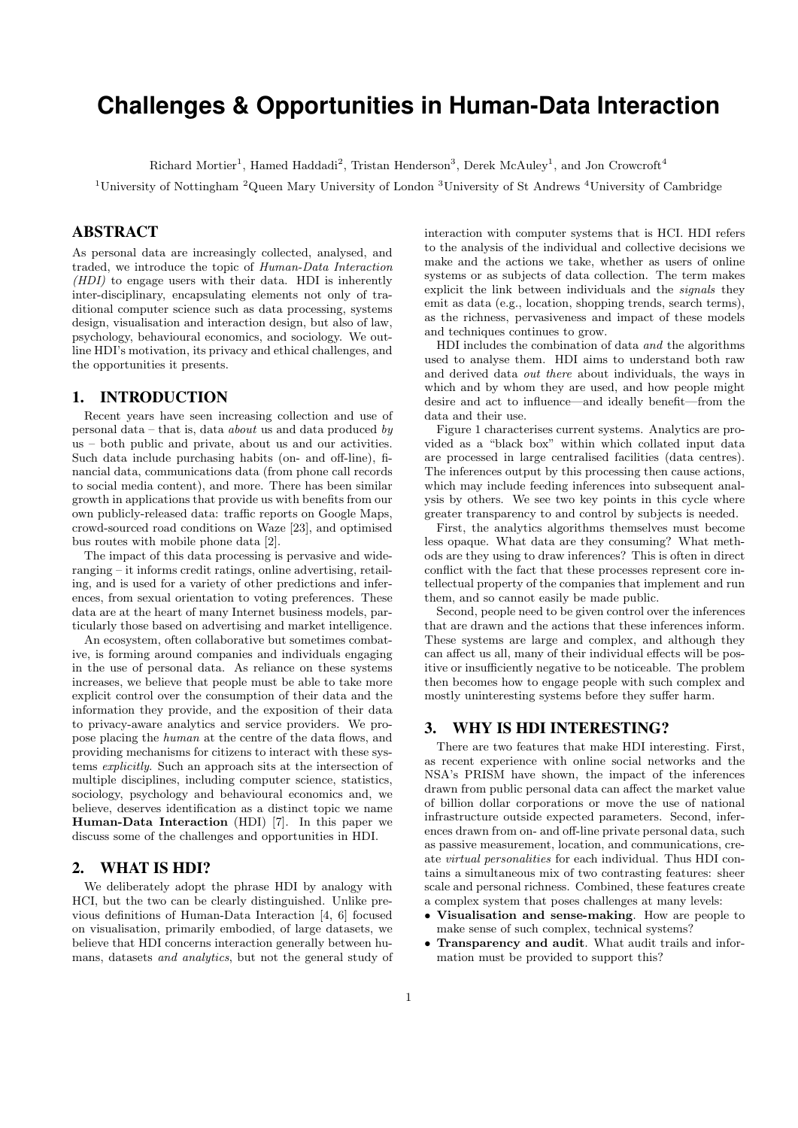# **Challenges & Opportunities in Human-Data Interaction**

Richard Mortier<sup>1</sup>, Hamed Haddadi<sup>2</sup>, Tristan Henderson<sup>3</sup>, Derek McAuley<sup>1</sup>, and Jon Crowcroft<sup>4</sup>

<sup>1</sup>University of Nottingham <sup>2</sup>Queen Mary University of London <sup>3</sup>University of St Andrews <sup>4</sup>University of Cambridge

# ABSTRACT

As personal data are increasingly collected, analysed, and traded, we introduce the topic of Human-Data Interaction (HDI) to engage users with their data. HDI is inherently inter-disciplinary, encapsulating elements not only of traditional computer science such as data processing, systems design, visualisation and interaction design, but also of law, psychology, behavioural economics, and sociology. We outline HDI's motivation, its privacy and ethical challenges, and the opportunities it presents.

#### 1. INTRODUCTION

Recent years have seen increasing collection and use of personal data – that is, data *about* us and data produced by us – both public and private, about us and our activities. Such data include purchasing habits (on- and off-line), financial data, communications data (from phone call records to social media content), and more. There has been similar growth in applications that provide us with benefits from our own publicly-released data: traffic reports on Google Maps, crowd-sourced road conditions on Waze [\[23\]](#page-2-0), and optimised bus routes with mobile phone data [\[2\]](#page-2-1).

The impact of this data processing is pervasive and wideranging – it informs credit ratings, online advertising, retailing, and is used for a variety of other predictions and inferences, from sexual orientation to voting preferences. These data are at the heart of many Internet business models, particularly those based on advertising and market intelligence.

An ecosystem, often collaborative but sometimes combative, is forming around companies and individuals engaging in the use of personal data. As reliance on these systems increases, we believe that people must be able to take more explicit control over the consumption of their data and the information they provide, and the exposition of their data to privacy-aware analytics and service providers. We propose placing the human at the centre of the data flows, and providing mechanisms for citizens to interact with these systems explicitly. Such an approach sits at the intersection of multiple disciplines, including computer science, statistics, sociology, psychology and behavioural economics and, we believe, deserves identification as a distinct topic we name Human-Data Interaction (HDI) [\[7\]](#page-2-2). In this paper we discuss some of the challenges and opportunities in HDI.

#### 2. WHAT IS HDI?

We deliberately adopt the phrase HDI by analogy with HCI, but the two can be clearly distinguished. Unlike previous definitions of Human-Data Interaction [\[4,](#page-2-3) [6\]](#page-2-4) focused on visualisation, primarily embodied, of large datasets, we believe that HDI concerns interaction generally between humans, datasets and analytics, but not the general study of

interaction with computer systems that is HCI. HDI refers to the analysis of the individual and collective decisions we make and the actions we take, whether as users of online systems or as subjects of data collection. The term makes explicit the link between individuals and the signals they emit as data (e.g., location, shopping trends, search terms), as the richness, pervasiveness and impact of these models and techniques continues to grow.

HDI includes the combination of data and the algorithms used to analyse them. HDI aims to understand both raw and derived data out there about individuals, the ways in which and by whom they are used, and how people might desire and act to influence—and ideally benefit—from the data and their use.

Figure [1](#page-2-5) characterises current systems. Analytics are provided as a "black box" within which collated input data are processed in large centralised facilities (data centres). The inferences output by this processing then cause actions, which may include feeding inferences into subsequent analysis by others. We see two key points in this cycle where greater transparency to and control by subjects is needed.

First, the analytics algorithms themselves must become less opaque. What data are they consuming? What methods are they using to draw inferences? This is often in direct conflict with the fact that these processes represent core intellectual property of the companies that implement and run them, and so cannot easily be made public.

Second, people need to be given control over the inferences that are drawn and the actions that these inferences inform. These systems are large and complex, and although they can affect us all, many of their individual effects will be positive or insufficiently negative to be noticeable. The problem then becomes how to engage people with such complex and mostly uninteresting systems before they suffer harm.

## 3. WHY IS HDI INTERESTING?

There are two features that make HDI interesting. First, as recent experience with online social networks and the NSA's PRISM have shown, the impact of the inferences drawn from public personal data can affect the market value of billion dollar corporations or move the use of national infrastructure outside expected parameters. Second, inferences drawn from on- and off-line private personal data, such as passive measurement, location, and communications, create virtual personalities for each individual. Thus HDI contains a simultaneous mix of two contrasting features: sheer scale and personal richness. Combined, these features create a complex system that poses challenges at many levels:

- Visualisation and sense-making. How are people to make sense of such complex, technical systems?
- Transparency and audit. What audit trails and information must be provided to support this?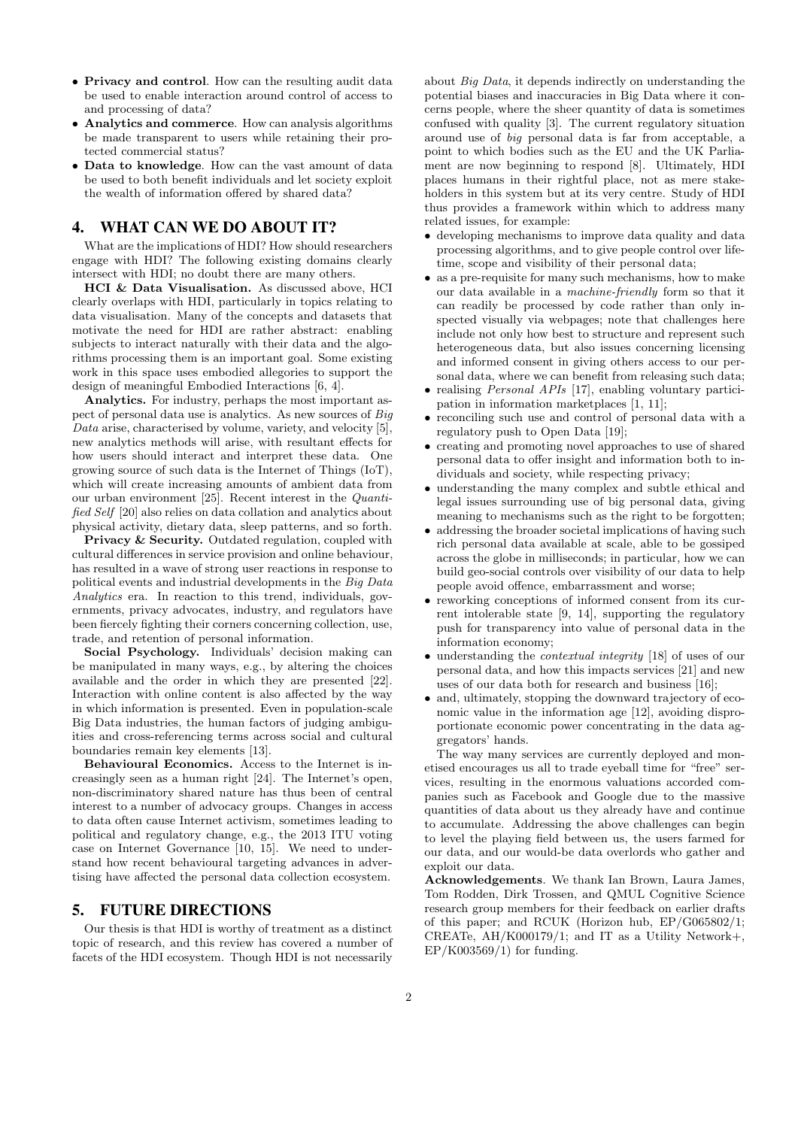- Privacy and control. How can the resulting audit data be used to enable interaction around control of access to and processing of data?
- Analytics and commerce. How can analysis algorithms be made transparent to users while retaining their protected commercial status?
- Data to knowledge. How can the vast amount of data be used to both benefit individuals and let society exploit the wealth of information offered by shared data?

# 4. WHAT CAN WE DO ABOUT IT?

What are the implications of HDI? How should researchers engage with HDI? The following existing domains clearly intersect with HDI; no doubt there are many others.

HCI & Data Visualisation. As discussed above, HCI clearly overlaps with HDI, particularly in topics relating to data visualisation. Many of the concepts and datasets that motivate the need for HDI are rather abstract: enabling subjects to interact naturally with their data and the algorithms processing them is an important goal. Some existing work in this space uses embodied allegories to support the design of meaningful Embodied Interactions [\[6,](#page-2-4) [4\]](#page-2-3).

Analytics. For industry, perhaps the most important aspect of personal data use is analytics. As new sources of Big Data arise, characterised by volume, variety, and velocity [\[5\]](#page-2-6), new analytics methods will arise, with resultant effects for how users should interact and interpret these data. One growing source of such data is the Internet of Things (IoT), which will create increasing amounts of ambient data from our urban environment [\[25\]](#page-2-7). Recent interest in the Quantified Self [\[20\]](#page-2-8) also relies on data collation and analytics about physical activity, dietary data, sleep patterns, and so forth.

Privacy & Security. Outdated regulation, coupled with cultural differences in service provision and online behaviour, has resulted in a wave of strong user reactions in response to political events and industrial developments in the Big Data Analytics era. In reaction to this trend, individuals, governments, privacy advocates, industry, and regulators have been fiercely fighting their corners concerning collection, use, trade, and retention of personal information.

Social Psychology. Individuals' decision making can be manipulated in many ways, e.g., by altering the choices available and the order in which they are presented [\[22\]](#page-2-9). Interaction with online content is also affected by the way in which information is presented. Even in population-scale Big Data industries, the human factors of judging ambiguities and cross-referencing terms across social and cultural boundaries remain key elements [\[13\]](#page-2-10).

Behavioural Economics. Access to the Internet is increasingly seen as a human right [\[24\]](#page-2-11). The Internet's open, non-discriminatory shared nature has thus been of central interest to a number of advocacy groups. Changes in access to data often cause Internet activism, sometimes leading to political and regulatory change, e.g., the 2013 ITU voting case on Internet Governance [\[10,](#page-2-12) [15\]](#page-2-13). We need to understand how recent behavioural targeting advances in advertising have affected the personal data collection ecosystem.

## 5. FUTURE DIRECTIONS

Our thesis is that HDI is worthy of treatment as a distinct topic of research, and this review has covered a number of facets of the HDI ecosystem. Though HDI is not necessarily

about Big Data, it depends indirectly on understanding the potential biases and inaccuracies in Big Data where it concerns people, where the sheer quantity of data is sometimes confused with quality [\[3\]](#page-2-14). The current regulatory situation around use of big personal data is far from acceptable, a point to which bodies such as the EU and the UK Parliament are now beginning to respond [\[8\]](#page-2-15). Ultimately, HDI places humans in their rightful place, not as mere stakeholders in this system but at its very centre. Study of HDI thus provides a framework within which to address many related issues, for example:

- developing mechanisms to improve data quality and data processing algorithms, and to give people control over lifetime, scope and visibility of their personal data;
- as a pre-requisite for many such mechanisms, how to make our data available in a machine-friendly form so that it can readily be processed by code rather than only inspected visually via webpages; note that challenges here include not only how best to structure and represent such heterogeneous data, but also issues concerning licensing and informed consent in giving others access to our personal data, where we can benefit from releasing such data;
- realising Personal APIs [\[17\]](#page-2-16), enabling voluntary participation in information marketplaces [\[1,](#page-2-17) [11\]](#page-2-18);
- reconciling such use and control of personal data with a regulatory push to Open Data [\[19\]](#page-2-19);
- creating and promoting novel approaches to use of shared personal data to offer insight and information both to individuals and society, while respecting privacy;
- understanding the many complex and subtle ethical and legal issues surrounding use of big personal data, giving meaning to mechanisms such as the right to be forgotten;
- addressing the broader societal implications of having such rich personal data available at scale, able to be gossiped across the globe in milliseconds; in particular, how we can build geo-social controls over visibility of our data to help people avoid offence, embarrassment and worse;
- reworking conceptions of informed consent from its current intolerable state [\[9,](#page-2-20) [14\]](#page-2-21), supporting the regulatory push for transparency into value of personal data in the information economy;
- understanding the *contextual integrity* [\[18\]](#page-2-22) of uses of our personal data, and how this impacts services [\[21\]](#page-2-23) and new uses of our data both for research and business [\[16\]](#page-2-24);
- and, ultimately, stopping the downward trajectory of economic value in the information age [\[12\]](#page-2-25), avoiding disproportionate economic power concentrating in the data aggregators' hands.

The way many services are currently deployed and monetised encourages us all to trade eyeball time for "free" services, resulting in the enormous valuations accorded companies such as Facebook and Google due to the massive quantities of data about us they already have and continue to accumulate. Addressing the above challenges can begin to level the playing field between us, the users farmed for our data, and our would-be data overlords who gather and exploit our data.

Acknowledgements. We thank Ian Brown, Laura James, Tom Rodden, Dirk Trossen, and QMUL Cognitive Science research group members for their feedback on earlier drafts of this paper; and RCUK (Horizon hub, EP/G065802/1; CREATe,  $AH/K000179/1$ ; and IT as a Utility Network+,  $EP/K003569/1)$  for funding.